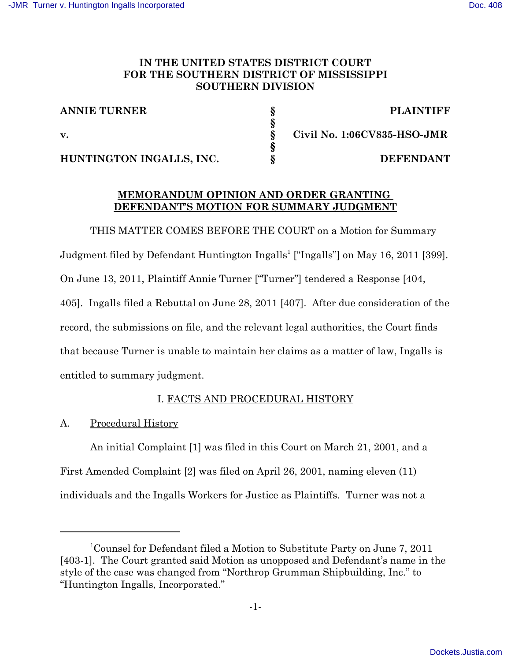# IN THE UNITED STATES DISTRICT COURT FOR THE SOUTHERN DISTRICT OF MISSISSIPPI **SOUTHERN DIVISION**

| <b>ANNIE TURNER</b>      | <b>PLAINTIFF</b>            |
|--------------------------|-----------------------------|
|                          |                             |
| $\mathbf{v}$ .           | Civil No. 1:06CV835-HSO-JMR |
|                          |                             |
| HUNTINGTON INGALLS, INC. | <b>DEFENDANT</b>            |

# MEMORANDUM OPINION AND ORDER GRANTING DEFENDANT'S MOTION FOR SUMMARY JUDGMENT

THIS MATTER COMES BEFORE THE COURT on a Motion for Summary Judgment filed by Defendant Huntington Ingalls<sup>1</sup> ["Ingalls"] on May 16, 2011 [399]. On June 13, 2011, Plaintiff Annie Turner ["Turner"] tendered a Response [404, 405]. Ingalls filed a Rebuttal on June 28, 2011 [407]. After due consideration of the record, the submissions on file, and the relevant legal authorities, the Court finds that because Turner is unable to maintain her claims as a matter of law, Ingalls is entitled to summary judgment.

# I. FACTS AND PROCEDURAL HISTORY

#### **Procedural History** А.

An initial Complaint [1] was filed in this Court on March 21, 2001, and a First Amended Complaint [2] was filed on April 26, 2001, naming eleven (11) individuals and the Ingalls Workers for Justice as Plaintiffs. Turner was not a

<sup>&</sup>lt;sup>1</sup>Counsel for Defendant filed a Motion to Substitute Party on June 7, 2011 [403-1]. The Court granted said Motion as unopposed and Defendant's name in the style of the case was changed from "Northrop Grumman Shipbuilding, Inc." to "Huntington Ingalls, Incorporated."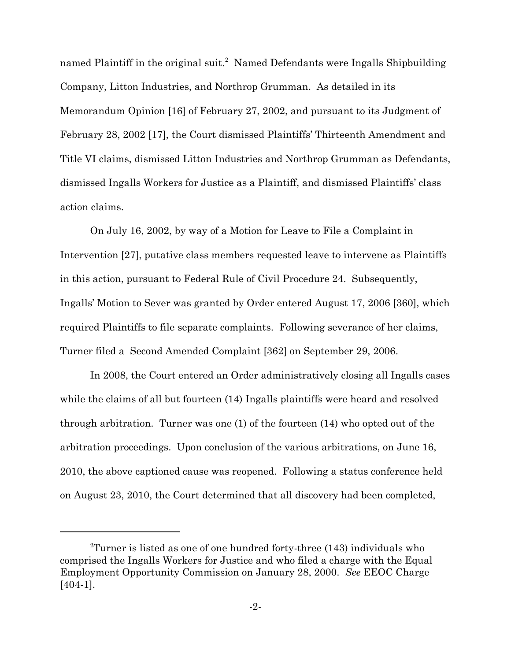named Plaintiff in the original suit.<sup>2</sup> Named Defendants were Ingalls Shipbuilding Company, Litton Industries, and Northrop Grumman. As detailed in its Memorandum Opinion [16] of February 27, 2002, and pursuant to its Judgment of February 28, 2002 [17], the Court dismissed Plaintiffs' Thirteenth Amendment and Title VI claims, dismissed Litton Industries and Northrop Grumman as Defendants, dismissed Ingalls Workers for Justice as a Plaintiff, and dismissed Plaintiffs' class action claims.

On July 16, 2002, by way of a Motion for Leave to File a Complaint in Intervention [27], putative class members requested leave to intervene as Plaintiffs in this action, pursuant to Federal Rule of Civil Procedure 24. Subsequently, Ingalls' Motion to Sever was granted by Order entered August 17, 2006 [360], which required Plaintiffs to file separate complaints. Following severance of her claims, Turner filed a Second Amended Complaint [362] on September 29, 2006.

In 2008, the Court entered an Order administratively closing all Ingalls cases while the claims of all but fourteen (14) Ingalls plaintiffs were heard and resolved through arbitration. Turner was one  $(1)$  of the fourteen  $(14)$  who opted out of the arbitration proceedings. Upon conclusion of the various arbitrations, on June 16, 2010, the above captioned cause was reopened. Following a status conference held on August 23, 2010, the Court determined that all discovery had been completed,

 ${}^{2}$ Turner is listed as one of one hundred forty-three (143) individuals who comprised the Ingalls Workers for Justice and who filed a charge with the Equal Employment Opportunity Commission on January 28, 2000. See EEOC Charge  $[404-1]$ .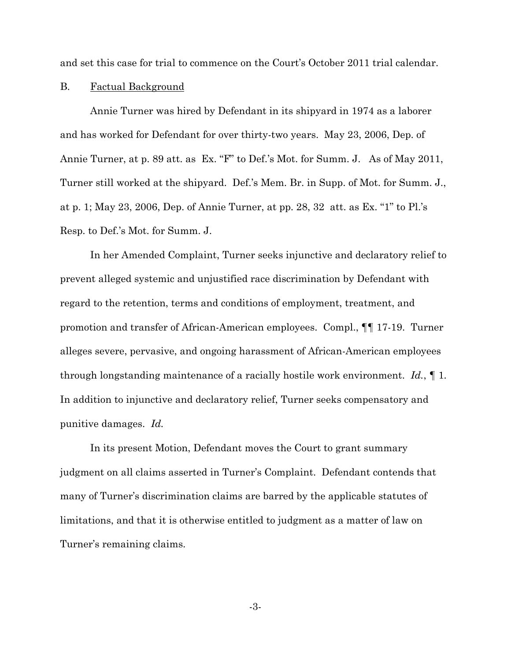and set this case for trial to commence on the Court's October 2011 trial calendar.

#### **B. Factual Background**

Annie Turner was hired by Defendant in its shipyard in 1974 as a laborer and has worked for Defendant for over thirty-two years. May 23, 2006, Dep. of Annie Turner, at p. 89 att. as Ex. "F" to Def.'s Mot. for Summ. J. As of May 2011, Turner still worked at the shipyard. Def.'s Mem. Br. in Supp. of Mot. for Summ. J., at p. 1; May 23, 2006, Dep. of Annie Turner, at pp. 28, 32 att. as Ex. "1" to Pl.'s Resp. to Def.'s Mot. for Summ. J.

In her Amended Complaint, Turner seeks injunctive and declaratory relief to prevent alleged systemic and unjustified race discrimination by Defendant with regard to the retention, terms and conditions of employment, treatment, and promotion and transfer of African-American employees. Compl., 11 17-19. Turner alleges severe, pervasive, and ongoing harassment of African-American employees through longstanding maintenance of a racially hostile work environment. Id.,  $\P$  1. In addition to injunctive and declaratory relief, Turner seeks compensatory and punitive damages. Id.

In its present Motion, Defendant moves the Court to grant summary judgment on all claims asserted in Turner's Complaint. Defendant contends that many of Turner's discrimination claims are barred by the applicable statutes of limitations, and that it is otherwise entitled to judgment as a matter of law on Turner's remaining claims.

 $-3-$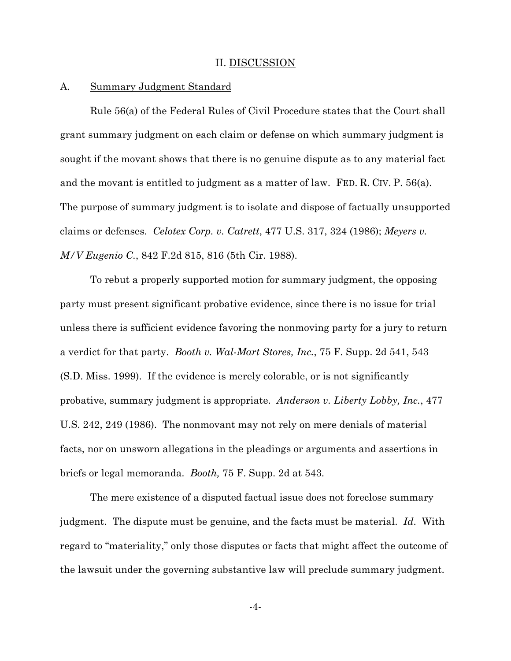### II. DISCUSSION

#### А. **Summary Judgment Standard**

Rule 56(a) of the Federal Rules of Civil Procedure states that the Court shall grant summary judgment on each claim or defense on which summary judgment is sought if the movant shows that there is no genuine dispute as to any material fact and the movant is entitled to judgment as a matter of law. FED. R. CIV. P. 56(a). The purpose of summary judgment is to isolate and dispose of factually unsupported claims or defenses. Celotex Corp. v. Catrett, 477 U.S. 317, 324 (1986); Meyers v. *M/V Eugenio C.*, 842 F.2d 815, 816 (5th Cir. 1988).

To rebut a properly supported motion for summary judgment, the opposing party must present significant probative evidence, since there is no issue for trial unless there is sufficient evidence favoring the nonmoving party for a jury to return a verdict for that party. *Booth v. Wal-Mart Stores, Inc.*, 75 F. Supp. 2d 541, 543 (S.D. Miss. 1999). If the evidence is merely colorable, or is not significantly probative, summary judgment is appropriate. Anderson v. Liberty Lobby, Inc., 477 U.S. 242, 249 (1986). The nonmovant may not rely on mere denials of material facts, nor on unsworn allegations in the pleadings or arguments and assertions in briefs or legal memoranda. *Booth*, 75 F. Supp. 2d at 543.

The mere existence of a disputed factual issue does not foreclose summary judgment. The dispute must be genuine, and the facts must be material. Id. With regard to "materiality," only those disputes or facts that might affect the outcome of the lawsuit under the governing substantive law will preclude summary judgment.

 $-4-$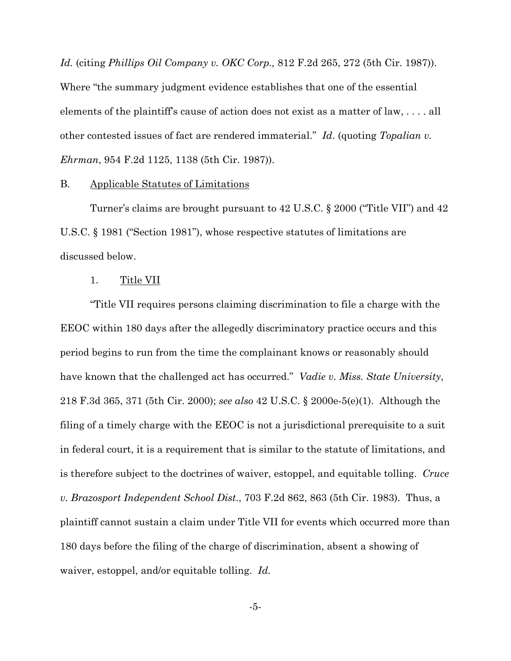*Id.* (citing *Phillips Oil Company v. OKC Corp.*, 812 F.2d 265, 272 (5th Cir. 1987)). Where "the summary judgment evidence establishes that one of the essential elements of the plaintiff's cause of action does not exist as a matter of law,  $\dots$  all other contested issues of fact are rendered immaterial." Id. (quoting Topalian v. *Ehrman*, 954 F.2d 1125, 1138 (5th Cir. 1987).

#### **B.** Applicable Statutes of Limitations

Turner's claims are brought pursuant to 42 U.S.C. § 2000 ("Title VII") and 42 U.S.C.  $\S$  1981 ("Section 1981"), whose respective statutes of limitations are discussed below.

#### 1. Title VII

"Title VII requires persons claiming discrimination to file a charge with the EEOC within 180 days after the allegedly discriminatory practice occurs and this period begins to run from the time the complainant knows or reasonably should have known that the challenged act has occurred." *Vadie v. Miss. State University*, 218 F.3d 365, 371 (5th Cir. 2000); see also 42 U.S.C. § 2000e-5(e)(1). Although the filing of a timely charge with the EEOC is not a jurisdictional prerequisite to a suit in federal court, it is a requirement that is similar to the statute of limitations, and is therefore subject to the doctrines of waiver, estoppel, and equitable tolling. Cruce v. Brazosport Independent School Dist., 703 F.2d 862, 863 (5th Cir. 1983). Thus, a plaintiff cannot sustain a claim under Title VII for events which occurred more than 180 days before the filing of the charge of discrimination, absent a showing of waiver, estoppel, and/or equitable tolling. Id.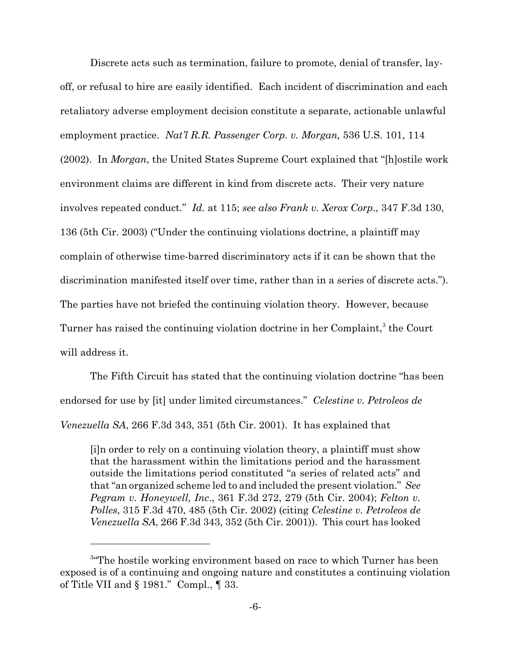Discrete acts such as termination, failure to promote, denial of transfer, layoff, or refusal to hire are easily identified. Each incident of discrimination and each retaliatory adverse employment decision constitute a separate, actionable unlawful employment practice. Nat'l R.R. Passenger Corp. v. Morgan, 536 U.S. 101, 114 (2002). In *Morgan*, the United States Supreme Court explained that "[h]ostile work environment claims are different in kind from discrete acts. Their very nature involves repeated conduct." Id. at 115; see also Frank v. Xerox Corp., 347 F.3d 130, 136 (5th Cir. 2003) ("Under the continuing violations doctrine, a plaintiff may complain of otherwise time-barred discriminatory acts if it can be shown that the discrimination manifested itself over time, rather than in a series of discrete acts."). The parties have not briefed the continuing violation theory. However, because Turner has raised the continuing violation doctrine in her Complaint,<sup>3</sup> the Court will address it.

The Fifth Circuit has stated that the continuing violation doctrine "has been" endorsed for use by [it] under limited circumstances." Celestine v. Petroleos de *Venezuella SA*, 266 F.3d 343, 351 (5th Cir. 2001). It has explained that

[i]n order to rely on a continuing violation theory, a plaintiff must show that the harassment within the limitations period and the harassment outside the limitations period constituted "a series of related acts" and that "an organized scheme led to and included the present violation." See Pegram v. Honeywell, Inc., 361 F.3d 272, 279 (5th Cir. 2004); Felton v. Polles, 315 F.3d 470, 485 (5th Cir. 2002) (citing Celestine v. Petroleos de *Venezuella SA*, 266 F.3d 343, 352 (5th Cir. 2001)). This court has looked

<sup>&</sup>lt;sup>3</sup>The hostile working environment based on race to which Turner has been exposed is of a continuing and ongoing nature and constitutes a continuing violation of Title VII and  $\S$  1981." Compl.,  $\P$  33.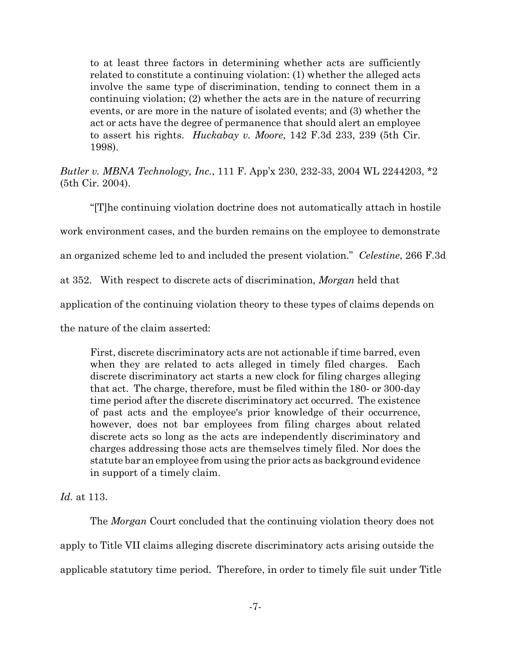to at least three factors in determining whether acts are sufficiently related to constitute a continuing violation: (1) whether the alleged acts involve the same type of discrimination, tending to connect them in a continuing violation; (2) whether the acts are in the nature of recurring events, or are more in the nature of isolated events; and (3) whether the act or acts have the degree of permanence that should alert an employee to assert his rights. *Huckabay v. Moore*, 142 F.3d 233, 239 (5th Cir. 1998).

Butler v. MBNA Technology, Inc., 111 F. App'x 230, 232-33, 2004 WL 2244203, \*2 (5th Cir. 2004).

"[T] he continuing violation doctrine does not automatically attach in hostile" work environment cases, and the burden remains on the employee to demonstrate an organized scheme led to and included the present violation." Celestine, 266 F.3d at 352. With respect to discrete acts of discrimination, *Morgan* held that application of the continuing violation theory to these types of claims depends on the nature of the claim asserted:

First, discrete discriminatory acts are not actionable if time barred, even when they are related to acts alleged in timely filed charges. Each discrete discriminatory act starts a new clock for filing charges alleging that act. The charge, therefore, must be filed within the 180- or 300-day time period after the discrete discriminatory act occurred. The existence of past acts and the employee's prior knowledge of their occurrence, however, does not bar employees from filing charges about related discrete acts so long as the acts are independently discriminatory and charges addressing those acts are themselves timely filed. Nor does the statute bar an employee from using the prior acts as background evidence in support of a timely claim.

*Id.* at 113.

The *Morgan* Court concluded that the continuing violation theory does not apply to Title VII claims alleging discrete discriminatory acts arising outside the applicable statutory time period. Therefore, in order to timely file suit under Title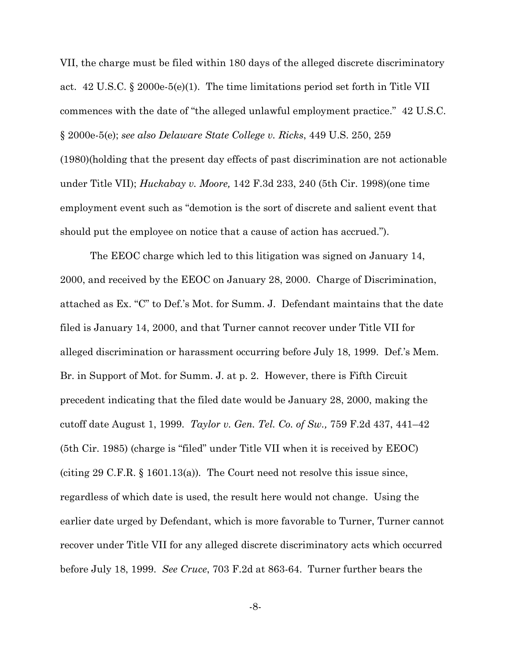VII, the charge must be filed within 180 days of the alleged discrete discriminatory act. 42 U.S.C. § 2000e-5(e)(1). The time limitations period set forth in Title VII commences with the date of "the alleged unlawful employment practice." 42 U.S.C.  $\S 2000e-5(e)$ ; see also Delaware State College v. Ricks, 449 U.S. 250, 259 (1980) (holding that the present day effects of past discrimination are not actionable under Title VII);  $Huckabay v. Moore, 142 F.3d 233, 240 (5th Cir. 1998)(one time)$ employment event such as "demotion is the sort of discrete and salient event that should put the employee on notice that a cause of action has accrued.").

The EEOC charge which led to this litigation was signed on January 14, 2000, and received by the EEOC on January 28, 2000. Charge of Discrimination, attached as Ex. "C" to Def.'s Mot. for Summ. J. Defendant maintains that the date filed is January 14, 2000, and that Turner cannot recover under Title VII for alleged discrimination or harassment occurring before July 18, 1999. Def.'s Mem. Br. in Support of Mot. for Summ. J. at p. 2. However, there is Fifth Circuit precedent indicating that the filed date would be January 28, 2000, making the cutoff date August 1, 1999. Taylor v. Gen. Tel. Co. of Sw., 759 F.2d 437, 441–42 (5th Cir. 1985) (charge is "filed" under Title VII when it is received by EEOC) (citing 29 C.F.R. § 1601.13(a)). The Court need not resolve this issue since, regardless of which date is used, the result here would not change. Using the earlier date urged by Defendant, which is more favorable to Turner, Turner cannot recover under Title VII for any alleged discrete discriminatory acts which occurred before July 18, 1999. See Cruce, 703 F.2d at 863-64. Turner further bears the

 $-8-$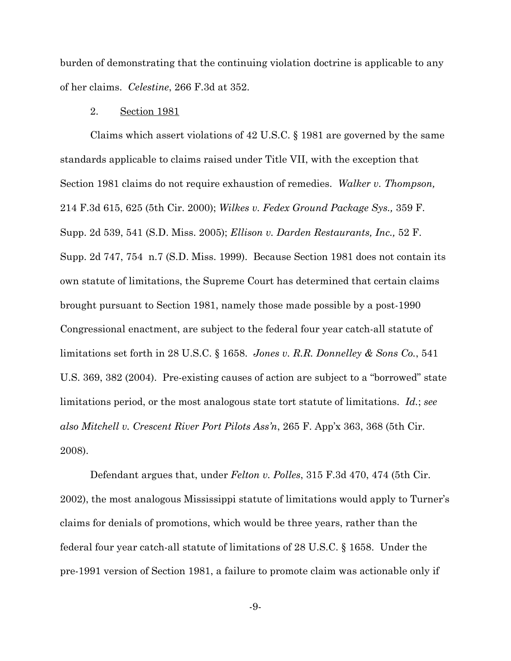burden of demonstrating that the continuing violation doctrine is applicable to any of her claims. Celestine, 266 F.3d at 352.

#### $2.$ Section 1981

Claims which assert violations of 42 U.S.C.  $\S$  1981 are governed by the same standards applicable to claims raised under Title VII, with the exception that Section 1981 claims do not require exhaustion of remedies. Walker v. Thompson, 214 F.3d 615, 625 (5th Cir. 2000); Wilkes v. Fedex Ground Package Sys., 359 F. Supp. 2d 539, 541 (S.D. Miss. 2005); Ellison v. Darden Restaurants, Inc., 52 F. Supp. 2d 747, 754 n.7 (S.D. Miss. 1999). Because Section 1981 does not contain its own statute of limitations, the Supreme Court has determined that certain claims brought pursuant to Section 1981, namely those made possible by a post-1990 Congressional enactment, are subject to the federal four year catch-all statute of limitations set forth in 28 U.S.C. § 1658. Jones v. R.R. Donnelley & Sons Co., 541 U.S. 369, 382 (2004). Pre-existing causes of action are subject to a "borrowed" state limitations period, or the most analogous state tort statute of limitations. Id.; see also Mitchell v. Crescent River Port Pilots Ass'n, 265 F. App'x 363, 368 (5th Cir. 2008).

Defendant argues that, under Felton v. Polles, 315 F.3d 470, 474 (5th Cir. 2002), the most analogous Mississippi statute of limitations would apply to Turner's claims for denials of promotions, which would be three years, rather than the federal four year catch-all statute of limitations of  $28$  U.S.C. § 1658. Under the pre-1991 version of Section 1981, a failure to promote claim was actionable only if

 $-9-$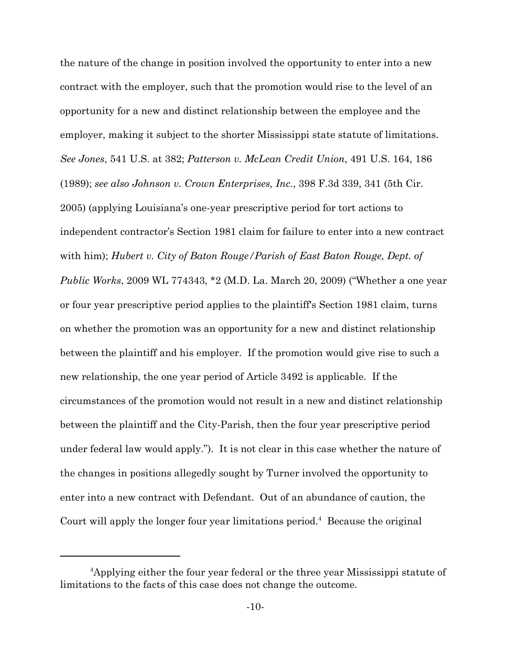the nature of the change in position involved the opportunity to enter into a new contract with the employer, such that the promotion would rise to the level of an opportunity for a new and distinct relationship between the employee and the employer, making it subject to the shorter Mississippi state statute of limitations. See Jones, 541 U.S. at 382; Patterson v. McLean Credit Union, 491 U.S. 164, 186 (1989); see also Johnson v. Crown Enterprises, Inc., 398 F.3d 339, 341 (5th Cir. 2005) (applying Louisiana's one-year prescriptive period for tort actions to independent contractor's Section 1981 claim for failure to enter into a new contract with him); Hubert v. City of Baton Rouge/Parish of East Baton Rouge, Dept. of *Public Works*, 2009 WL 774343, \*2 (M.D. La. March 20, 2009) ("Whether a one year or four year prescriptive period applies to the plaintiff's Section 1981 claim, turns on whether the promotion was an opportunity for a new and distinct relationship between the plaintiff and his employer. If the promotion would give rise to such a new relationship, the one year period of Article 3492 is applicable. If the circumstances of the promotion would not result in a new and distinct relationship between the plaintiff and the City-Parish, then the four year prescriptive period under federal law would apply."). It is not clear in this case whether the nature of the changes in positions allegedly sought by Turner involved the opportunity to enter into a new contract with Defendant. Out of an abundance of caution, the Court will apply the longer four year limitations period.<sup>4</sup> Because the original

<sup>&</sup>lt;sup>4</sup>Applying either the four year federal or the three year Mississippi statute of limitations to the facts of this case does not change the outcome.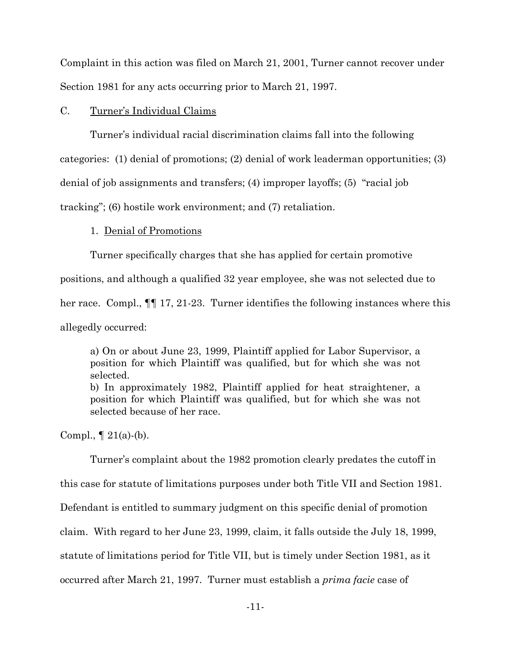Complaint in this action was filed on March 21, 2001, Turner cannot recover under Section 1981 for any acts occurring prior to March 21, 1997.

#### $C_{\cdot}$ Turner's Individual Claims

Turner's individual racial discrimination claims fall into the following categories: (1) denial of promotions; (2) denial of work leaderman opportunities; (3) denial of job assignments and transfers; (4) improper layoffs; (5) "racial job tracking"; (6) hostile work environment; and (7) retaliation.

## 1. Denial of Promotions

Turner specifically charges that she has applied for certain promotive

positions, and although a qualified 32 year employee, she was not selected due to

her race. Compl.,  $\P$  17, 21-23. Turner identifies the following instances where this

allegedly occurred:

a) On or about June 23, 1999, Plaintiff applied for Labor Supervisor, a position for which Plaintiff was qualified, but for which she was not selected. b) In approximately 1982, Plaintiff applied for heat straightener, a

position for which Plaintiff was qualified, but for which she was not selected because of her race.

Compl.,  $\P$  21(a)-(b).

Turner's complaint about the 1982 promotion clearly predates the cutoff in this case for statute of limitations purposes under both Title VII and Section 1981. Defendant is entitled to summary judgment on this specific denial of promotion claim. With regard to her June 23, 1999, claim, it falls outside the July 18, 1999, statute of limitations period for Title VII, but is timely under Section 1981, as it occurred after March 21, 1997. Turner must establish a *prima facie* case of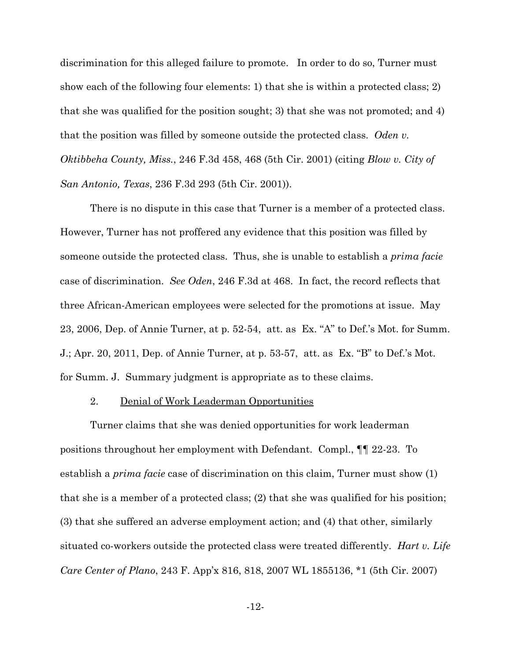discrimination for this alleged failure to promote. In order to do so, Turner must show each of the following four elements: 1) that she is within a protected class; 2) that she was qualified for the position sought; 3) that she was not promoted; and 4) that the position was filled by someone outside the protected class. Oden v. *Oktibbeha County, Miss., 246 F.3d 458, 468 (5th Cir. 2001) (citing Blow v. City of* San Antonio, Texas, 236 F.3d 293 (5th Cir. 2001)).

There is no dispute in this case that Turner is a member of a protected class. However, Turner has not proffered any evidence that this position was filled by someone outside the protected class. Thus, she is unable to establish a prima facie case of discrimination. See Oden, 246 F.3d at 468. In fact, the record reflects that three African-American employees were selected for the promotions at issue. May 23, 2006, Dep. of Annie Turner, at p. 52-54, att. as Ex. "A" to Def.'s Mot. for Summ. J.; Apr. 20, 2011, Dep. of Annie Turner, at p. 53-57, att. as Ex. "B" to Def.'s Mot. for Summ. J. Summary judgment is appropriate as to these claims.

#### 2. Denial of Work Leaderman Opportunities

Turner claims that she was denied opportunities for work leaderman positions throughout her employment with Defendant. Compl.,  $\P$  22-23. To establish a *prima facie* case of discrimination on this claim, Turner must show (1) that she is a member of a protected class; (2) that she was qualified for his position; (3) that she suffered an adverse employment action; and (4) that other, similarly situated co-workers outside the protected class were treated differently. *Hart v. Life* Care Center of Plano, 243 F. App'x 816, 818, 2007 WL 1855136, \*1 (5th Cir. 2007)

 $-12-$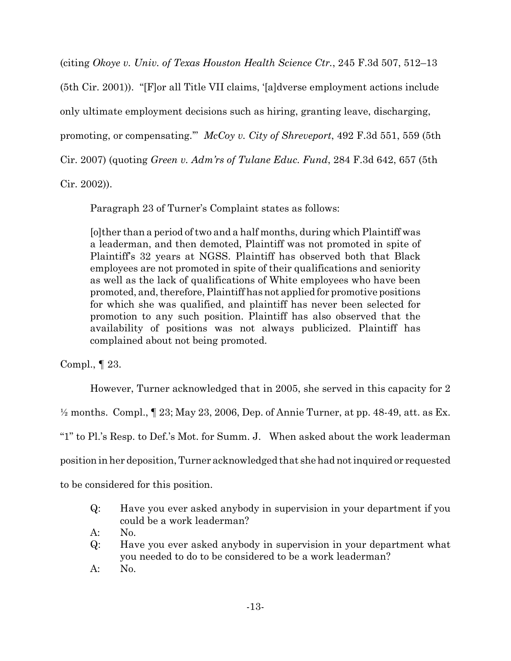(citing Okoye v. Univ. of Texas Houston Health Science Ctr., 245 F.3d 507, 512–13

(5th Cir. 2001)). "[F] or all Title VII claims, '[a] dverse employment actions include only ultimate employment decisions such as hiring, granting leave, discharging, promoting, or compensating." McCoy v. City of Shreveport, 492 F.3d 551, 559 (5th Cir. 2007) (quoting *Green v. Adm'rs of Tulane Educ. Fund*, 284 F.3d 642, 657 (5th

 $Cir. 2002)$ ).

Paragraph 23 of Turner's Complaint states as follows:

[o] ther than a period of two and a half months, during which Plaintiff was a leaderman, and then demoted, Plaintiff was not promoted in spite of Plaintiff's 32 years at NGSS. Plaintiff has observed both that Black employees are not promoted in spite of their qualifications and seniority as well as the lack of qualifications of White employees who have been promoted, and, therefore, Plaintiff has not applied for promotive positions for which she was qualified, and plaintiff has never been selected for promotion to any such position. Plaintiff has also observed that the availability of positions was not always publicized. Plaintiff has complained about not being promoted.

Compl.,  $\P$  23.

However, Turner acknowledged that in 2005, she served in this capacity for 2

 $\frac{1}{2}$  months. Compl.,  $\llbracket 23; \text{May } 23, 2006, \text{Dep. of Annie Turner, at pp. } 48-49, \text{att. as Ex.}$ 

"1" to Pl.'s Resp. to Def.'s Mot. for Summ. J. When asked about the work leaderman

position in her deposition, Turner acknowledged that she had not inquired or requested

to be considered for this position.

 $Q:$ Have you ever asked anybody in supervision in your department if you could be a work leaderman?

 $A$ :  $No.$ 

- Have you ever asked anybody in supervision in your department what  $Q$ : you needed to do to be considered to be a work leaderman?
- $A$ : No.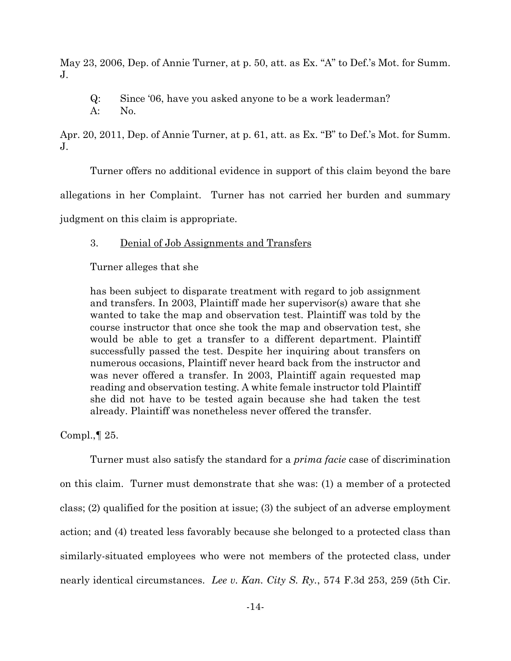May 23, 2006, Dep. of Annie Turner, at p. 50, att. as Ex. "A" to Def.'s Mot. for Summ.  $\mathbf{J}$ .

 $Q$ : Since '06, have you asked anyone to be a work leaderman?

 $A$ : No.

Apr. 20, 2011, Dep. of Annie Turner, at p. 61, att. as Ex. "B" to Def.'s Mot. for Summ.  $J_{\cdot}$ 

Turner offers no additional evidence in support of this claim beyond the bare

allegations in her Complaint. Turner has not carried her burden and summary

judgment on this claim is appropriate.

#### 3. Denial of Job Assignments and Transfers

Turner alleges that she

has been subject to disparate treatment with regard to job assignment and transfers. In 2003, Plaintiff made her supervisor(s) aware that she wanted to take the map and observation test. Plaintiff was told by the course instructor that once she took the map and observation test, she would be able to get a transfer to a different department. Plaintiff successfully passed the test. Despite her inquiring about transfers on numerous occasions, Plaintiff never heard back from the instructor and was never offered a transfer. In 2003, Plaintiff again requested map reading and observation testing. A white female instructor told Plaintiff she did not have to be tested again because she had taken the test already. Plaintiff was nonetheless never offered the transfer.

Compl.,  $\llbracket 25$ .

Turner must also satisfy the standard for a *prima facie* case of discrimination on this claim. Turner must demonstrate that she was: (1) a member of a protected class; (2) qualified for the position at issue; (3) the subject of an adverse employment action; and (4) treated less favorably because she belonged to a protected class than similarly-situated employees who were not members of the protected class, under nearly identical circumstances. Lee v. Kan. City S. Ry., 574 F.3d 253, 259 (5th Cir.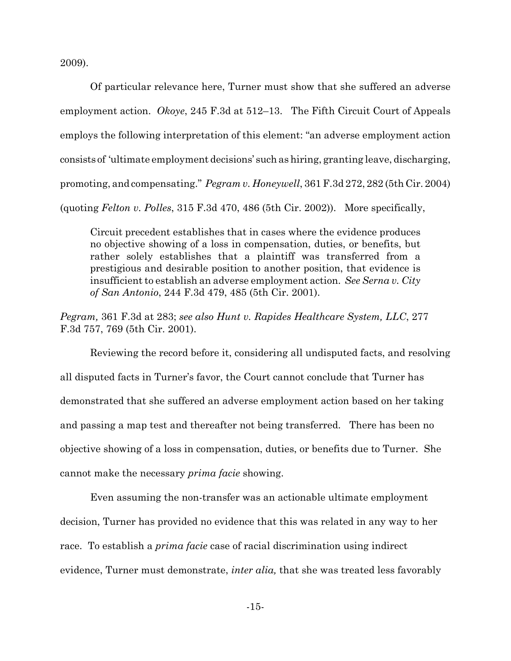2009).

Of particular relevance here, Turner must show that she suffered an adverse employment action. Okoye, 245 F.3d at  $512-13$ . The Fifth Circuit Court of Appeals employs the following interpretation of this element: "an adverse employment action consists of 'ultimate employment decisions' such as hiring, granting leave, discharging, promoting, and compensating." *Pegram v. Honeywell*, 361 F.3d 272, 282 (5th Cir. 2004) (quoting Felton v. Polles, 315 F.3d 470, 486 (5th Cir. 2002)). More specifically,

Circuit precedent establishes that in cases where the evidence produces no objective showing of a loss in compensation, duties, or benefits, but rather solely establishes that a plaintiff was transferred from a prestigious and desirable position to another position, that evidence is insufficient to establish an adverse employment action. See Serna v. City of San Antonio, 244 F.3d 479, 485 (5th Cir. 2001).

Pegram, 361 F.3d at 283; see also Hunt v. Rapides Healthcare System, LLC, 277 F.3d 757, 769 (5th Cir. 2001).

Reviewing the record before it, considering all undisputed facts, and resolving all disputed facts in Turner's favor, the Court cannot conclude that Turner has demonstrated that she suffered an adverse employment action based on her taking and passing a map test and thereafter not being transferred. There has been no objective showing of a loss in compensation, duties, or benefits due to Turner. She cannot make the necessary *prima facie* showing.

Even assuming the non-transfer was an actionable ultimate employment decision, Turner has provided no evidence that this was related in any way to her race. To establish a *prima facie* case of racial discrimination using indirect evidence. Turner must demonstrate, *inter alia*, that she was treated less favorably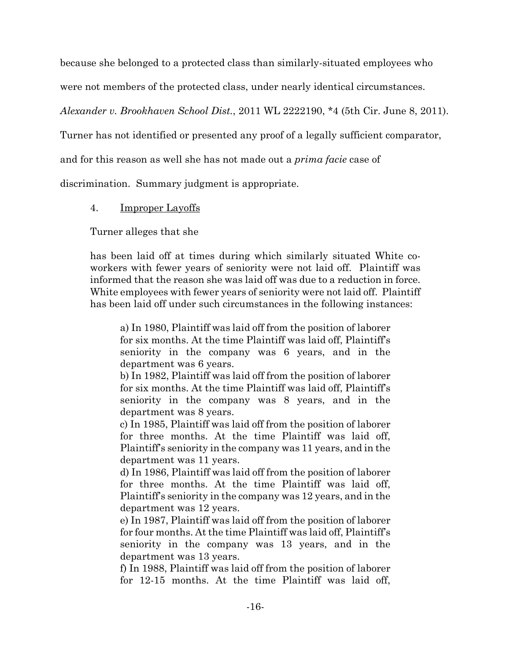because she belonged to a protected class than similarly-situated employees who

were not members of the protected class, under nearly identical circumstances.

Alexander v. Brookhaven School Dist., 2011 WL 2222190, \*4 (5th Cir. June 8, 2011).

Turner has not identified or presented any proof of a legally sufficient comparator,

and for this reason as well she has not made out a *prima facie* case of

discrimination. Summary judgment is appropriate.

#### $\overline{4}$ . **Improper Layoffs**

Turner alleges that she

has been laid off at times during which similarly situated White coworkers with fewer years of seniority were not laid off. Plaintiff was informed that the reason she was laid off was due to a reduction in force. White employees with fewer years of seniority were not laid off. Plaintiff has been laid off under such circumstances in the following instances:

a) In 1980, Plaintiff was laid off from the position of laborer for six months. At the time Plaintiff was laid off, Plaintiff's seniority in the company was 6 years, and in the department was 6 years.

b) In 1982, Plaintiff was laid off from the position of laborer for six months. At the time Plaintiff was laid off, Plaintiff's seniority in the company was 8 years, and in the department was 8 years.

c) In 1985, Plaintiff was laid off from the position of laborer for three months. At the time Plaintiff was laid off, Plaintiff's seniority in the company was 11 years, and in the department was 11 years.

d) In 1986, Plaintiff was laid off from the position of laborer for three months. At the time Plaintiff was laid off, Plaintiff's seniority in the company was 12 years, and in the department was 12 years.

e) In 1987, Plaintiff was laid off from the position of laborer for four months. At the time Plaintiff was laid off, Plaintiff's seniority in the company was 13 years, and in the department was 13 years.

f) In 1988, Plaintiff was laid off from the position of laborer for 12-15 months. At the time Plaintiff was laid off,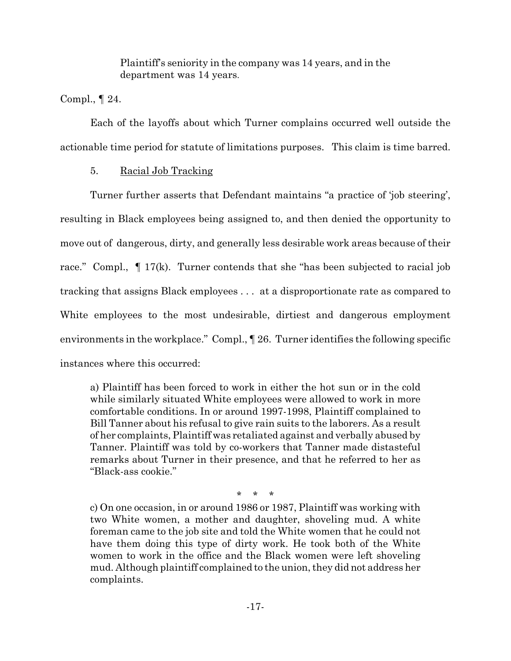Plaintiff's seniority in the company was 14 years, and in the department was 14 years.

Compl.,  $\P$  24.

Each of the layoffs about which Turner complains occurred well outside the actionable time period for statute of limitations purposes. This claim is time barred.

#### Racial Job Tracking  $5<sub>1</sub>$

Turner further asserts that Defendant maintains "a practice of 'job steering', resulting in Black employees being assigned to, and then denied the opportunity to move out of dangerous, dirty, and generally less desirable work areas because of their race." Compl.,  $\P$  17(k). Turner contends that she "has been subjected to racial job tracking that assigns Black employees ... at a disproportionate rate as compared to White employees to the most undesirable, dirtiest and dangerous employment environments in the workplace." Compl., [ 26. Turner identifies the following specific instances where this occurred:

a) Plaintiff has been forced to work in either the hot sun or in the cold while similarly situated White employees were allowed to work in more comfortable conditions. In or around 1997-1998, Plaintiff complained to Bill Tanner about his refusal to give rain suits to the laborers. As a result of her complaints, Plaintiff was retaliated against and verbally abused by Tanner. Plaintiff was told by co-workers that Tanner made distasteful remarks about Turner in their presence, and that he referred to her as "Black-ass cookie."

> $\star$  $\star$

c) On one occasion, in or around 1986 or 1987, Plaintiff was working with two White women, a mother and daughter, shoveling mud. A white foreman came to the job site and told the White women that he could not have them doing this type of dirty work. He took both of the White women to work in the office and the Black women were left shoveling mud. Although plaintiff complained to the union, they did not address her complaints.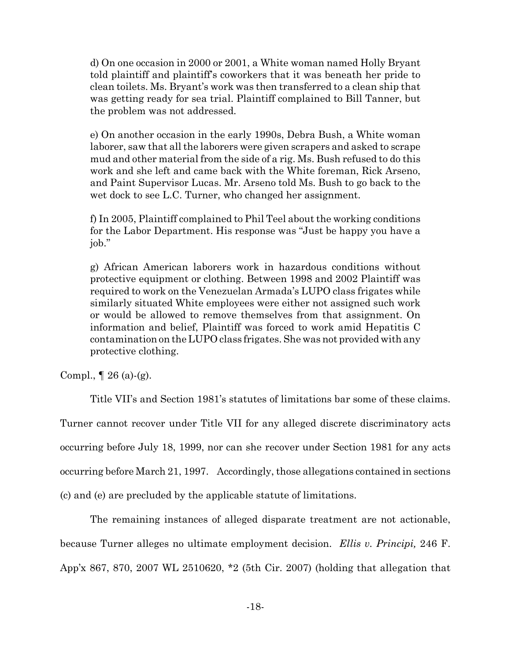d) On one occasion in 2000 or 2001, a White woman named Holly Bryant told plaintiff and plaintiff's coworkers that it was beneath her pride to clean toilets. Ms. Bryant's work was then transferred to a clean ship that was getting ready for sea trial. Plaintiff complained to Bill Tanner, but the problem was not addressed.

e) On another occasion in the early 1990s, Debra Bush, a White woman laborer, saw that all the laborers were given scrapers and asked to scrape mud and other material from the side of a rig. Ms. Bush refused to do this work and she left and came back with the White foreman, Rick Arseno, and Paint Supervisor Lucas. Mr. Arseno told Ms. Bush to go back to the wet dock to see L.C. Turner, who changed her assignment.

f) In 2005, Plaintiff complained to Phil Teel about the working conditions for the Labor Department. His response was "Just be happy you have a job."

g) African American laborers work in hazardous conditions without protective equipment or clothing. Between 1998 and 2002 Plaintiff was required to work on the Venezuelan Armada's LUPO class frigates while similarly situated White employees were either not assigned such work or would be allowed to remove themselves from that assignment. On information and belief, Plaintiff was forced to work amid Hepatitis C contamination on the LUPO class frigates. She was not provided with any protective clothing.

Compl.,  $\P$  26 (a)-(g).

Title VII's and Section 1981's statutes of limitations bar some of these claims.

Turner cannot recover under Title VII for any alleged discrete discriminatory acts occurring before July 18, 1999, nor can she recover under Section 1981 for any acts occurring before March 21, 1997. Accordingly, those allegations contained in sections (c) and (e) are precluded by the applicable statute of limitations.

The remaining instances of alleged disparate treatment are not actionable, because Turner alleges no ultimate employment decision. Ellis v. Principi, 246 F. App'x 867, 870, 2007 WL 2510620, \*2 (5th Cir. 2007) (holding that allegation that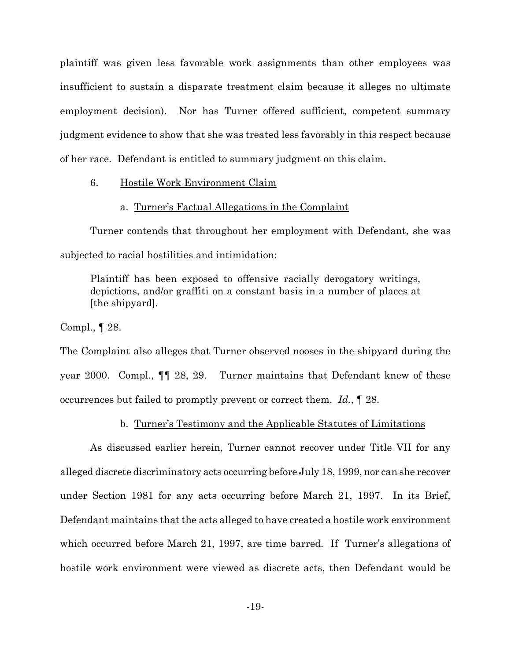plaintiff was given less favorable work assignments than other employees was insufficient to sustain a disparate treatment claim because it alleges no ultimate employment decision). Nor has Turner offered sufficient, competent summary judgment evidence to show that she was treated less favorably in this respect because of her race. Defendant is entitled to summary judgment on this claim.

#### Hostile Work Environment Claim 6.

### a. Turner's Factual Allegations in the Complaint

Turner contends that throughout her employment with Defendant, she was subjected to racial hostilities and intimidation:

Plaintiff has been exposed to offensive racially derogatory writings, depictions, and/or graffiti on a constant basis in a number of places at [the shipyard].

Compl.,  $\P$  28.

The Complaint also alleges that Turner observed nooses in the shipyard during the Turner maintains that Defendant knew of these year 2000. Compl., **[**¶ 28, 29. occurrences but failed to promptly prevent or correct them.  $Id.$ ,  $\P$  28.

## b. Turner's Testimony and the Applicable Statutes of Limitations

As discussed earlier herein, Turner cannot recover under Title VII for any alleged discrete discriminatory acts occurring before July 18, 1999, nor can she recover under Section 1981 for any acts occurring before March 21, 1997. In its Brief, Defendant maintains that the acts alleged to have created a hostile work environment which occurred before March 21, 1997, are time barred. If Turner's allegations of hostile work environment were viewed as discrete acts, then Defendant would be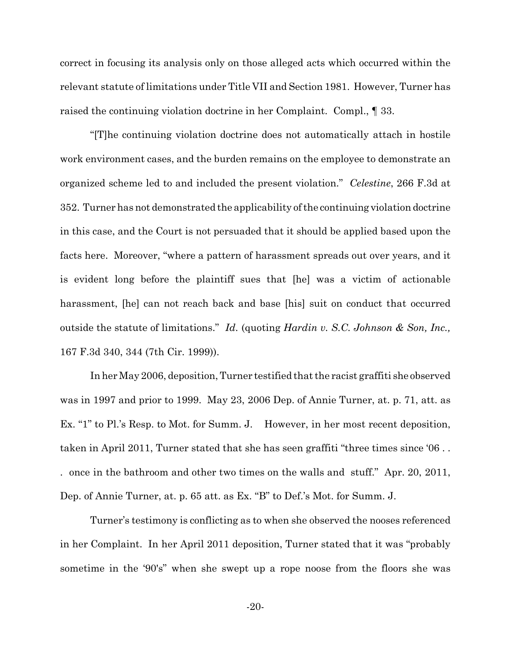correct in focusing its analysis only on those alleged acts which occurred within the relevant statute of limitations under Title VII and Section 1981. However, Turner has raised the continuing violation doctrine in her Complaint. Compl.,  $\parallel$  33.

"[T] he continuing violation doctrine does not automatically attach in hostile" work environment cases, and the burden remains on the employee to demonstrate an organized scheme led to and included the present violation." Celestine, 266 F.3d at 352. Turner has not demonstrated the applicability of the continuing violation doctrine in this case, and the Court is not persuaded that it should be applied based upon the facts here. Moreover, "where a pattern of harassment spreads out over years, and it is evident long before the plaintiff sues that [he] was a victim of actionable harassment, [he] can not reach back and base [his] suit on conduct that occurred outside the statute of limitations." Id. (quoting Hardin v. S.C. Johnson & Son, Inc., 167 F.3d 340, 344 (7th Cir. 1999)).

In her May 2006, deposition, Turner testified that the racist graffiti she observed was in 1997 and prior to 1999. May 23, 2006 Dep. of Annie Turner, at. p. 71, att. as Ex. "1" to Pl.'s Resp. to Mot. for Summ. J. However, in her most recent deposition, taken in April 2011, Turner stated that she has seen graffiti "three times since '06.. once in the bathroom and other two times on the walls and stuff." Apr. 20, 2011, Dep. of Annie Turner, at. p. 65 att. as Ex. "B" to Def.'s Mot. for Summ. J.

Turner's testimony is conflicting as to when she observed the nooses referenced in her Complaint. In her April 2011 deposition, Turner stated that it was "probably" sometime in the '90's" when she swept up a rope noose from the floors she was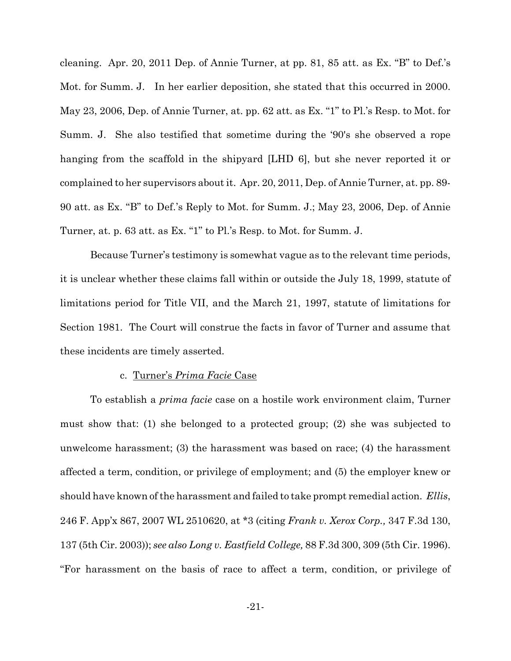cleaning. Apr. 20, 2011 Dep. of Annie Turner, at pp. 81, 85 att. as Ex. "B" to Def.'s Mot. for Summ. J. In her earlier deposition, she stated that this occurred in 2000. May 23, 2006, Dep. of Annie Turner, at. pp. 62 att. as Ex. "1" to Pl.'s Resp. to Mot. for Summ. J. She also testified that sometime during the '90's she observed a rope hanging from the scaffold in the shipyard [LHD 6], but she never reported it or complained to her supervisors about it. Apr. 20, 2011, Dep. of Annie Turner, at. pp. 89-90 att. as Ex. "B" to Def.'s Reply to Mot. for Summ. J.; May 23, 2006, Dep. of Annie Turner, at. p. 63 att. as Ex. "1" to Pl.'s Resp. to Mot. for Summ. J.

Because Turner's testimony is somewhat vague as to the relevant time periods, it is unclear whether these claims fall within or outside the July 18, 1999, statute of limitations period for Title VII, and the March 21, 1997, statute of limitations for Section 1981. The Court will construe the facts in favor of Turner and assume that these incidents are timely asserted.

### c. Turner's *Prima Facie* Case

To establish a *prima facie* case on a hostile work environment claim, Turner must show that: (1) she belonged to a protected group; (2) she was subjected to unwelcome harassment;  $(3)$  the harassment was based on race;  $(4)$  the harassment affected a term, condition, or privilege of employment; and (5) the employer knew or should have known of the harassment and failed to take prompt remedial action. Ellis, 246 F. App'x 867, 2007 WL 2510620, at \*3 (citing Frank v. Xerox Corp., 347 F.3d 130, 137 (5th Cir. 2003)); see also Long v. Eastfield College, 88 F.3d 300, 309 (5th Cir. 1996). "For harassment on the basis of race to affect a term, condition, or privilege of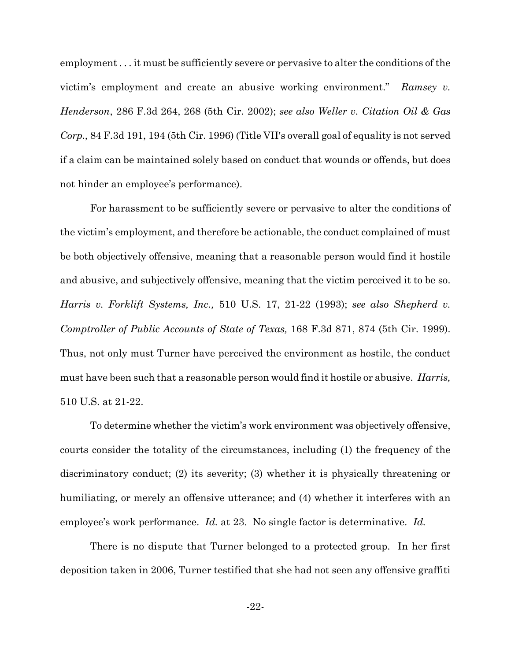employment... it must be sufficiently severe or pervasive to alter the conditions of the victim's employment and create an abusive working environment." Ramsey v. Henderson, 286 F.3d 264, 268 (5th Cir. 2002); see also Weller v. Citation Oil & Gas Corp., 84 F.3d 191, 194 (5th Cir. 1996) (Title VII's overall goal of equality is not served if a claim can be maintained solely based on conduct that wounds or offends, but does not hinder an employee's performance).

For harassment to be sufficiently severe or pervasive to alter the conditions of the victim's employment, and therefore be actionable, the conduct complained of must be both objectively offensive, meaning that a reasonable person would find it hostile and abusive, and subjectively offensive, meaning that the victim perceived it to be so. Harris v. Forklift Systems, Inc., 510 U.S. 17, 21-22 (1993); see also Shepherd v. Comptroller of Public Accounts of State of Texas, 168 F.3d 871, 874 (5th Cir. 1999). Thus, not only must Turner have perceived the environment as hostile, the conduct must have been such that a reasonable person would find it hostile or abusive. Harris, 510 U.S. at 21-22.

To determine whether the victim's work environment was objectively offensive, courts consider the totality of the circumstances, including (1) the frequency of the discriminatory conduct; (2) its severity; (3) whether it is physically threatening or humiliating, or merely an offensive utterance; and (4) whether it interferes with an employee's work performance. Id. at 23. No single factor is determinative. Id.

There is no dispute that Turner belonged to a protected group. In her first deposition taken in 2006, Turner testified that she had not seen any offensive graffiti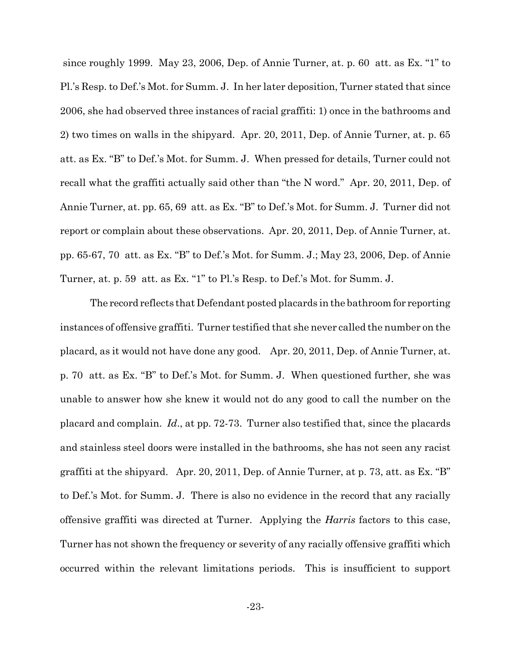since roughly 1999. May 23, 2006, Dep. of Annie Turner, at. p. 60 att. as Ex. "1" to Pl.'s Resp. to Def.'s Mot. for Summ. J. In her later deposition, Turner stated that since 2006, she had observed three instances of racial graffiti: 1) once in the bathrooms and 2) two times on walls in the shipyard. Apr. 20, 2011, Dep. of Annie Turner, at. p. 65 att. as Ex. "B" to Def.'s Mot. for Summ. J. When pressed for details, Turner could not recall what the graffiti actually said other than "the N word." Apr. 20, 2011, Dep. of Annie Turner, at. pp. 65, 69 att. as Ex. "B" to Def.'s Mot. for Summ. J. Turner did not report or complain about these observations. Apr. 20, 2011, Dep. of Annie Turner, at. pp. 65-67, 70 att. as Ex. "B" to Def.'s Mot. for Summ. J.; May 23, 2006, Dep. of Annie Turner, at. p. 59 att. as Ex. "1" to Pl.'s Resp. to Def.'s Mot. for Summ. J.

The record reflects that Defendant posted placards in the bathroom for reporting instances of offensive graffiti. Turner testified that she never called the number on the placard, as it would not have done any good. Apr. 20, 2011, Dep. of Annie Turner, at. p. 70 att. as Ex. "B" to Def.'s Mot. for Summ. J. When questioned further, she was unable to answer how she knew it would not do any good to call the number on the placard and complain.  $Id$ , at pp. 72-73. Turner also testified that, since the placards and stainless steel doors were installed in the bathrooms, she has not seen any racist graffiti at the shipyard. Apr. 20, 2011, Dep. of Annie Turner, at p. 73, att. as Ex. "B" to Def.'s Mot. for Summ. J. There is also no evidence in the record that any racially offensive graffiti was directed at Turner. Applying the *Harris* factors to this case, Turner has not shown the frequency or severity of any racially offensive graffiti which occurred within the relevant limitations periods. This is insufficient to support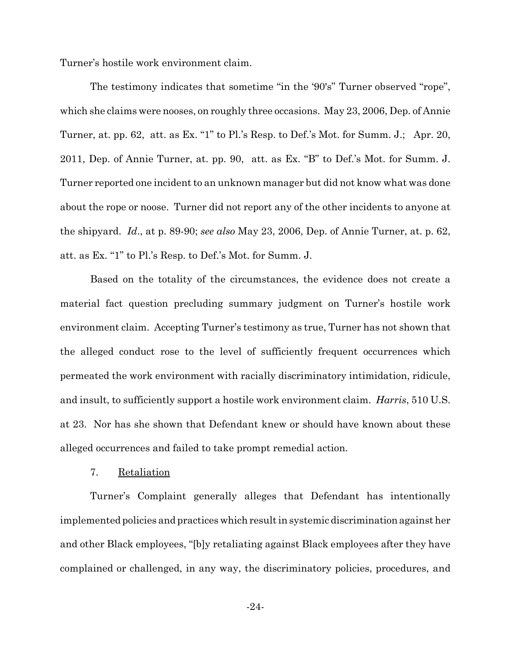Turner's hostile work environment claim.

The testimony indicates that sometime "in the '90's" Turner observed "rope", which she claims were nooses, on roughly three occasions. May 23, 2006, Dep. of Annie Turner, at. pp. 62, att. as Ex. "1" to Pl.'s Resp. to Def.'s Mot. for Summ. J.; Apr. 20, 2011, Dep. of Annie Turner, at. pp. 90, att. as Ex. "B" to Def.'s Mot. for Summ. J. Turner reported one incident to an unknown manager but did not know what was done about the rope or noose. Turner did not report any of the other incidents to anyone at the shipyard. Id., at p. 89-90; see also May 23, 2006, Dep. of Annie Turner, at. p. 62, att. as Ex. "1" to Pl.'s Resp. to Def.'s Mot. for Summ. J.

Based on the totality of the circumstances, the evidence does not create a material fact question precluding summary judgment on Turner's hostile work environment claim. Accepting Turner's testimony as true, Turner has not shown that the alleged conduct rose to the level of sufficiently frequent occurrences which permeated the work environment with racially discriminatory intimidation, ridicule, and insult, to sufficiently support a hostile work environment claim. *Harris*, 510 U.S. at 23. Nor has she shown that Defendant knew or should have known about these alleged occurrences and failed to take prompt remedial action.

#### 7. Retaliation

Turner's Complaint generally alleges that Defendant has intentionally implemented policies and practices which result in systemic discrimination against her and other Black employees, "[b]y retaliating against Black employees after they have complained or challenged, in any way, the discriminatory policies, procedures, and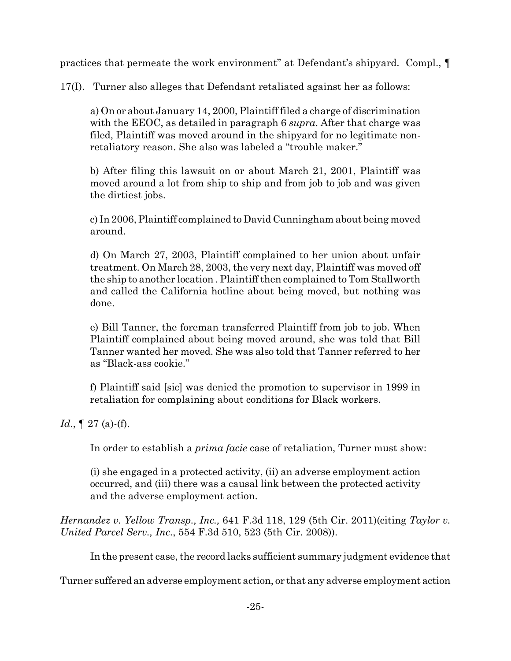practices that permeate the work environment" at Defendant's shipyard. Compl., ¶

17(I). Turner also alleges that Defendant retaliated against her as follows:

a) On or about January 14, 2000, Plaintiff filed a charge of discrimination with the EEOC, as detailed in paragraph 6 *supra*. After that charge was filed, Plaintiff was moved around in the shipyard for no legitimate nonretaliatory reason. She also was labeled a "trouble maker."

b) After filing this lawsuit on or about March 21, 2001, Plaintiff was moved around a lot from ship to ship and from job to job and was given the dirtiest jobs.

c) In 2006, Plaintiff complained to David Cunningham about being moved around.

d) On March 27, 2003, Plaintiff complained to her union about unfair treatment. On March 28, 2003, the very next day, Plaintiff was moved off the ship to another location. Plaintiff then complained to Tom Stallworth and called the California hotline about being moved, but nothing was done.

e) Bill Tanner, the foreman transferred Plaintiff from job to job. When Plaintiff complained about being moved around, she was told that Bill Tanner wanted her moved. She was also told that Tanner referred to her as "Black-ass cookie."

f) Plaintiff said [sic] was denied the promotion to supervisor in 1999 in retaliation for complaining about conditions for Black workers.

*Id.*,  $\llbracket 27 \text{ (a) - (f)}$ .

In order to establish a *prima facie* case of retaliation, Turner must show:

(i) she engaged in a protected activity, (ii) an adverse employment action occurred, and (iii) there was a causal link between the protected activity and the adverse employment action.

Hernandez v. Yellow Transp., Inc., 641 F.3d 118, 129 (5th Cir. 2011) (citing Taylor v. United Parcel Serv., Inc., 554 F.3d 510, 523 (5th Cir. 2008)).

In the present case, the record lacks sufficient summary judgment evidence that

Turner suffered an adverse employment action, or that any adverse employment action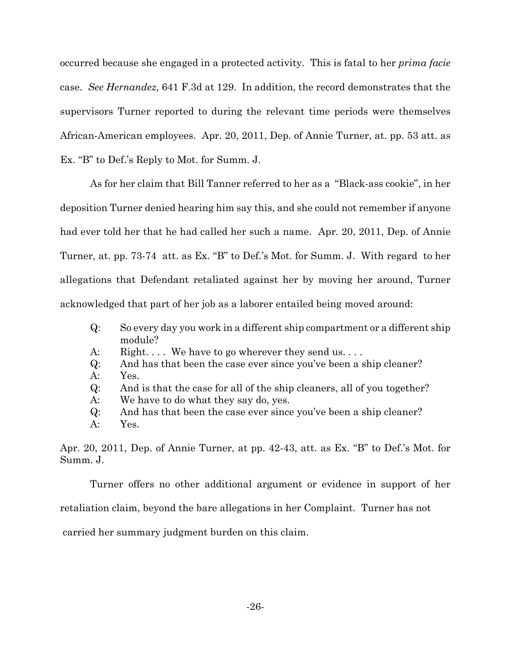occurred because she engaged in a protected activity. This is fatal to her *prima facie* case. See Hernandez, 641 F.3d at 129. In addition, the record demonstrates that the supervisors Turner reported to during the relevant time periods were themselves African-American employees. Apr. 20, 2011, Dep. of Annie Turner, at. pp. 53 att. as Ex. "B" to Def.'s Reply to Mot. for Summ. J.

As for her claim that Bill Tanner referred to her as a "Black-ass cookie", in her deposition Turner denied hearing him say this, and she could not remember if anyone had ever told her that he had called her such a name. Apr. 20, 2011, Dep. of Annie Turner, at. pp. 73-74 att. as Ex. "B" to Def.'s Mot. for Summ. J. With regard to her allegations that Defendant retaliated against her by moving her around, Turner acknowledged that part of her job as a laborer entailed being moved around:

- $Q$ : So every day you work in a different ship compartment or a different ship module?
- Right.... We have to go wherever they send us.... A:
- And has that been the case ever since you've been a ship cleaner?  $Q$ :
- $A$ : Yes.
- $Q$ : And is that the case for all of the ship cleaners, all of you together?
- We have to do what they say do, yes. A:
- $Q$ : And has that been the case ever since you've been a ship cleaner?
- $A$ : Yes.

Apr. 20, 2011, Dep. of Annie Turner, at pp. 42-43, att. as Ex. "B" to Def.'s Mot. for Summ. J.

Turner offers no other additional argument or evidence in support of her retaliation claim, beyond the bare allegations in her Complaint. Turner has not

carried her summary judgment burden on this claim.